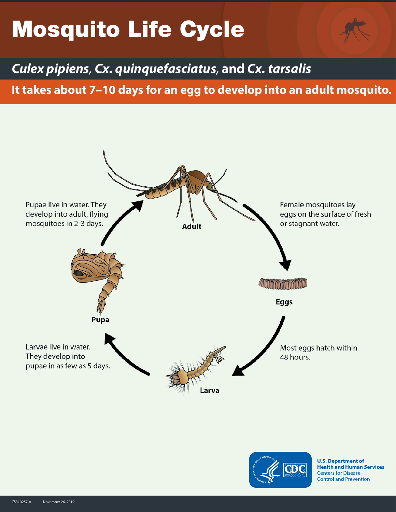# Mosquito Life Cycle

*Culex pipiens, Cx. quinquefasciatus,* **and** *Cx. tarsalis*

**It takes about 7–10 days for an egg to develop into an adult mosquito.**





**U.S. Department of Health and Human Services Centers for Disease Control and Prevention**